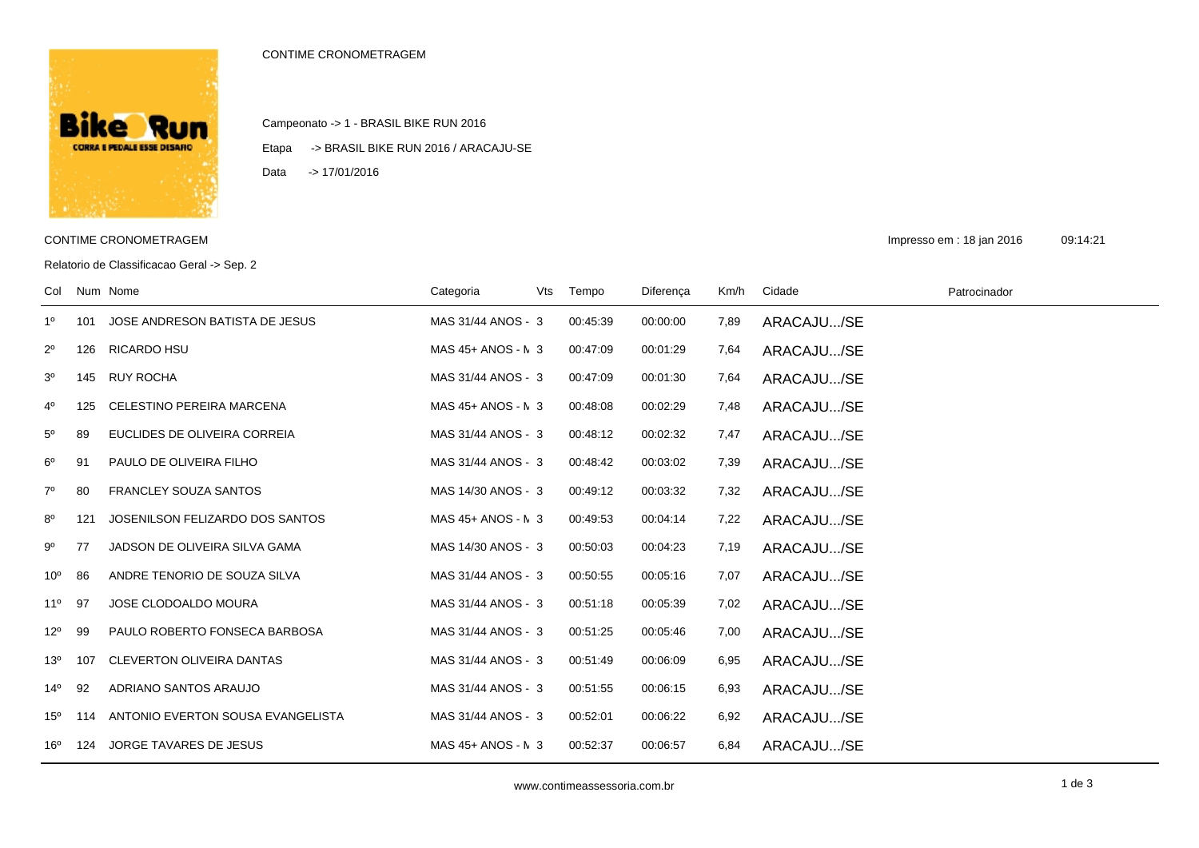## CONTIME CRONOMETRAGEM



Campeonato -> 1 - BRASIL BIKE RUN 2016

Etapa -> BRASIL BIKE RUN 2016 / ARACAJU-SE

Data -> 17/01/2016

Relatorio de Classificacao Geral -> Sep. 2

CONTIME CRONOMETRAGEM **Impresso em : 18 jan 2016** 09:14:21

| Col          |     | Num Nome                          | Categoria          | Vts | Tempo    | Diferença | Km/h | Cidade     | Patrocinador |
|--------------|-----|-----------------------------------|--------------------|-----|----------|-----------|------|------------|--------------|
| 1º           | 101 | JOSE ANDRESON BATISTA DE JESUS    | MAS 31/44 ANOS - 3 |     | 00:45:39 | 00:00:00  | 7,89 | ARACAJU/SE |              |
| $2^{\circ}$  | 126 | <b>RICARDO HSU</b>                | MAS 45+ ANOS - N 3 |     | 00:47:09 | 00:01:29  | 7,64 | ARACAJU/SE |              |
| $3^{\circ}$  | 145 | <b>RUY ROCHA</b>                  | MAS 31/44 ANOS - 3 |     | 00:47:09 | 00:01:30  | 7,64 | ARACAJU/SE |              |
| 4º           | 125 | <b>CELESTINO PEREIRA MARCENA</b>  | MAS 45+ ANOS - N 3 |     | 00:48:08 | 00:02:29  | 7,48 | ARACAJU/SE |              |
| $5^{\circ}$  | 89  | EUCLIDES DE OLIVEIRA CORREIA      | MAS 31/44 ANOS - 3 |     | 00:48:12 | 00:02:32  | 7,47 | ARACAJU/SE |              |
| $6^{\rm o}$  | 91  | PAULO DE OLIVEIRA FILHO           | MAS 31/44 ANOS - 3 |     | 00:48:42 | 00:03:02  | 7,39 | ARACAJU/SE |              |
| $7^\circ$    | 80  | <b>FRANCLEY SOUZA SANTOS</b>      | MAS 14/30 ANOS - 3 |     | 00:49:12 | 00:03:32  | 7,32 | ARACAJU/SE |              |
| 8º           | 121 | JOSENILSON FELIZARDO DOS SANTOS   | MAS 45+ ANOS - N 3 |     | 00:49:53 | 00:04:14  | 7,22 | ARACAJU/SE |              |
| 90           | 77  | JADSON DE OLIVEIRA SILVA GAMA     | MAS 14/30 ANOS - 3 |     | 00:50:03 | 00:04:23  | 7,19 | ARACAJU/SE |              |
| $10^{\circ}$ | 86  | ANDRE TENORIO DE SOUZA SILVA      | MAS 31/44 ANOS - 3 |     | 00:50:55 | 00:05:16  | 7,07 | ARACAJU/SE |              |
| $11^{\circ}$ | 97  | <b>JOSE CLODOALDO MOURA</b>       | MAS 31/44 ANOS - 3 |     | 00:51:18 | 00:05:39  | 7,02 | ARACAJU/SE |              |
| $12^{\circ}$ | 99  | PAULO ROBERTO FONSECA BARBOSA     | MAS 31/44 ANOS - 3 |     | 00:51:25 | 00:05:46  | 7,00 | ARACAJU/SE |              |
| $13^{\circ}$ | 107 | <b>CLEVERTON OLIVEIRA DANTAS</b>  | MAS 31/44 ANOS - 3 |     | 00:51:49 | 00:06:09  | 6,95 | ARACAJU/SE |              |
| $14^{\circ}$ | 92  | ADRIANO SANTOS ARAUJO             | MAS 31/44 ANOS - 3 |     | 00:51:55 | 00:06:15  | 6,93 | ARACAJU/SE |              |
| $15^{\circ}$ | 114 | ANTONIO EVERTON SOUSA EVANGELISTA | MAS 31/44 ANOS - 3 |     | 00:52:01 | 00:06:22  | 6,92 | ARACAJU/SE |              |
| 16°          | 124 | <b>JORGE TAVARES DE JESUS</b>     | MAS 45+ ANOS - N 3 |     | 00:52:37 | 00:06:57  | 6,84 | ARACAJU/SE |              |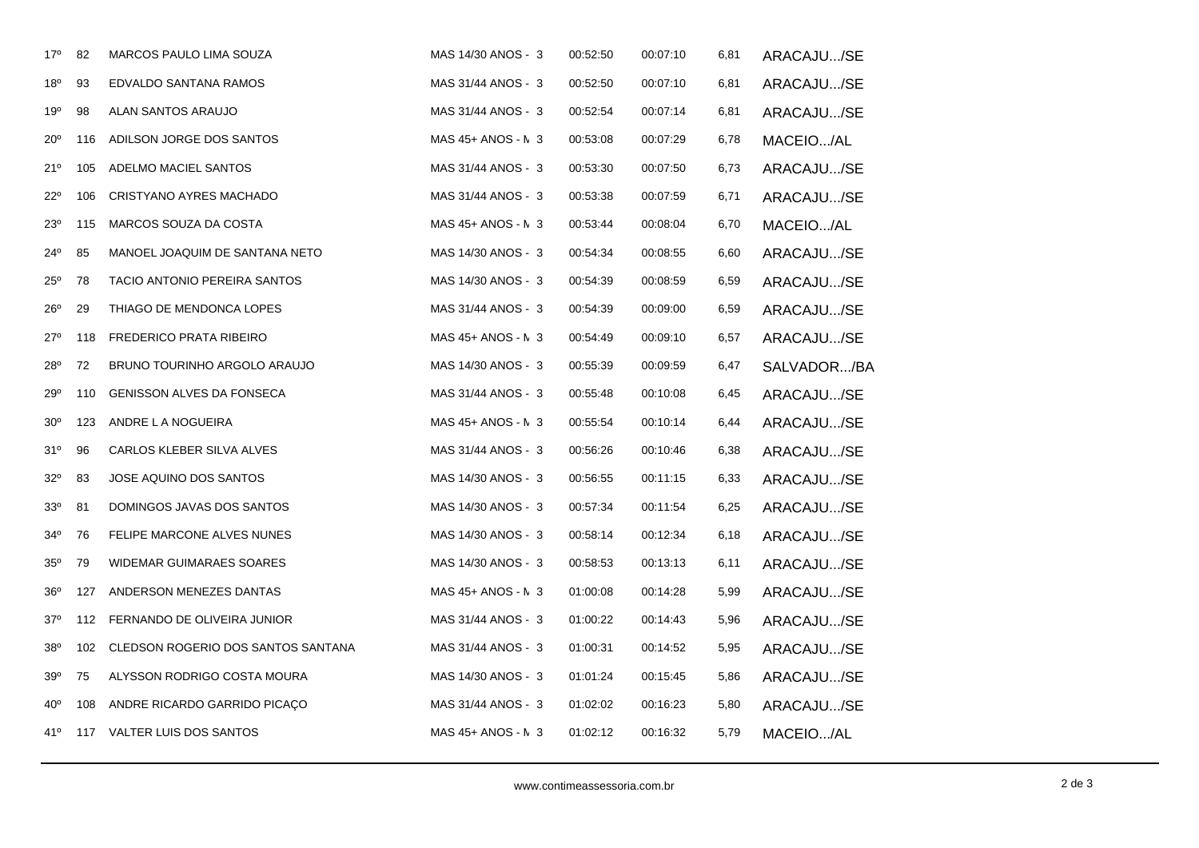| 17°             | 82  | MARCOS PAULO LIMA SOUZA            | MAS 14/30 ANOS - 3   | 00:52:50 | 00:07:10 | 6,81 | ARACAJU/SE  |
|-----------------|-----|------------------------------------|----------------------|----------|----------|------|-------------|
| $18^{\circ}$    | 93  | EDVALDO SANTANA RAMOS              | MAS 31/44 ANOS - 3   | 00:52:50 | 00:07:10 | 6,81 | ARACAJU/SE  |
| 19°             | 98  | ALAN SANTOS ARAUJO                 | MAS 31/44 ANOS - 3   | 00:52:54 | 00:07:14 | 6,81 | ARACAJU/SE  |
| $20^{\circ}$    | 116 | ADILSON JORGE DOS SANTOS           | MAS $45+$ ANOS - N 3 | 00:53:08 | 00:07:29 | 6,78 | MACEIO/AL   |
| 21°             | 105 | ADELMO MACIEL SANTOS               | MAS 31/44 ANOS - 3   | 00:53:30 | 00:07:50 | 6,73 | ARACAJU/SE  |
| $22^{\circ}$    | 106 | CRISTYANO AYRES MACHADO            | MAS 31/44 ANOS - 3   | 00:53:38 | 00:07:59 | 6,71 | ARACAJU/SE  |
| $23^{\circ}$    | 115 | MARCOS SOUZA DA COSTA              | $MAS 45+ ANOS - N 3$ | 00:53:44 | 00:08:04 | 6,70 | MACEIO/AL   |
| 24°             | 85  | MANOEL JOAQUIM DE SANTANA NETO     | MAS 14/30 ANOS - 3   | 00:54:34 | 00:08:55 | 6,60 | ARACAJU/SE  |
| $25^{\circ}$    | 78  | TACIO ANTONIO PEREIRA SANTOS       | MAS 14/30 ANOS - 3   | 00:54:39 | 00:08:59 | 6,59 | ARACAJU/SE  |
| $26^{\circ}$    | 29  | THIAGO DE MENDONCA LOPES           | MAS 31/44 ANOS - 3   | 00:54:39 | 00:09:00 | 6,59 | ARACAJU/SE  |
| $27^\circ$      | 118 | <b>FREDERICO PRATA RIBEIRO</b>     | MAS $45+$ ANOS - N 3 | 00:54:49 | 00:09:10 | 6,57 | ARACAJU/SE  |
| 28°             | 72  | BRUNO TOURINHO ARGOLO ARAUJO       | MAS 14/30 ANOS - 3   | 00:55:39 | 00:09:59 | 6,47 | SALVADOR/BA |
| 29°             | 110 | <b>GENISSON ALVES DA FONSECA</b>   | MAS 31/44 ANOS - 3   | 00:55:48 | 00:10:08 | 6,45 | ARACAJU/SE  |
| $30^{\circ}$    | 123 | ANDRE L A NOGUEIRA                 | $MAS 45+ ANOS - N 3$ | 00:55:54 | 00:10:14 | 6,44 | ARACAJU/SE  |
| 31°             | 96  | CARLOS KLEBER SILVA ALVES          | MAS 31/44 ANOS - 3   | 00:56:26 | 00:10:46 | 6,38 | ARACAJU/SE  |
| $32^{\circ}$    | 83  | JOSE AQUINO DOS SANTOS             | MAS 14/30 ANOS - 3   | 00:56:55 | 00:11:15 | 6,33 | ARACAJU/SE  |
| 33 <sup>0</sup> | 81  | DOMINGOS JAVAS DOS SANTOS          | MAS 14/30 ANOS - 3   | 00:57:34 | 00:11:54 | 6,25 | ARACAJU/SE  |
| $34^{\circ}$    | 76  | FELIPE MARCONE ALVES NUNES         | MAS 14/30 ANOS - 3   | 00:58:14 | 00:12:34 | 6,18 | ARACAJU/SE  |
| 35 <sup>0</sup> | 79  | WIDEMAR GUIMARAES SOARES           | MAS 14/30 ANOS - 3   | 00:58:53 | 00:13:13 | 6,11 | ARACAJU/SE  |
| $36^{\circ}$    | 127 | ANDERSON MENEZES DANTAS            | MAS 45+ ANOS - N 3   | 01:00:08 | 00:14:28 | 5,99 | ARACAJU/SE  |
| $37^\circ$      | 112 | FERNANDO DE OLIVEIRA JUNIOR        | MAS 31/44 ANOS - 3   | 01:00:22 | 00:14:43 | 5,96 | ARACAJU/SE  |
| $38^{\circ}$    | 102 | CLEDSON ROGERIO DOS SANTOS SANTANA | MAS 31/44 ANOS - 3   | 01:00:31 | 00:14:52 | 5,95 | ARACAJU/SE  |
| 39°             | 75  | ALYSSON RODRIGO COSTA MOURA        | MAS 14/30 ANOS - 3   | 01:01:24 | 00:15:45 | 5,86 | ARACAJU/SE  |
| 40°             | 108 | ANDRE RICARDO GARRIDO PICAÇO       | MAS 31/44 ANOS - 3   | 01:02:02 | 00:16:23 | 5,80 | ARACAJU/SE  |
| 41°             |     | 117 VALTER LUIS DOS SANTOS         | MAS 45+ ANOS - N 3   | 01:02:12 | 00:16:32 | 5,79 | MACEIO/AL   |